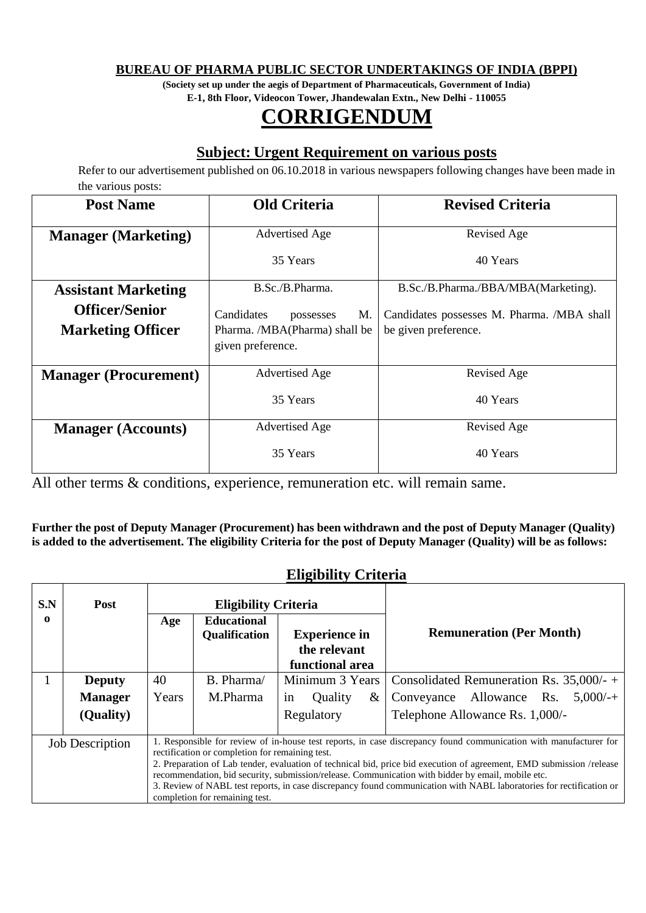#### **BUREAU OF PHARMA PUBLIC SECTOR UNDERTAKINGS OF INDIA (BPPI)**

**(Society set up under the aegis of Department of Pharmaceuticals, Government of India) E-1, 8th Floor, Videocon Tower, Jhandewalan Extn., New Delhi - 110055**

# **CORRIGENDUM**

### **Subject: Urgent Requirement on various posts**

Refer to our advertisement published on 06.10.2018 in various newspapers following changes have been made in the various posts:

| <b>Post Name</b>                                  | <b>Old Criteria</b>                                                                 | <b>Revised Criteria</b>                                            |  |
|---------------------------------------------------|-------------------------------------------------------------------------------------|--------------------------------------------------------------------|--|
| <b>Manager</b> (Marketing)                        | <b>Advertised Age</b>                                                               | Revised Age                                                        |  |
|                                                   | 35 Years                                                                            | 40 Years                                                           |  |
| <b>Assistant Marketing</b>                        | B.Sc./B.Pharma.                                                                     | B.Sc./B.Pharma./BBA/MBA(Marketing).                                |  |
| <b>Officer/Senior</b><br><b>Marketing Officer</b> | Candidates<br>M.<br>possesses<br>Pharma. /MBA(Pharma) shall be<br>given preference. | Candidates possesses M. Pharma. /MBA shall<br>be given preference. |  |
| <b>Manager (Procurement)</b>                      | <b>Advertised Age</b>                                                               | Revised Age                                                        |  |
|                                                   | 35 Years                                                                            | 40 Years                                                           |  |
| <b>Manager (Accounts)</b>                         | <b>Advertised Age</b>                                                               | Revised Age                                                        |  |
|                                                   | 35 Years                                                                            | 40 Years                                                           |  |

All other terms & conditions, experience, remuneration etc. will remain same.

**Further the post of Deputy Manager (Procurement) has been withdrawn and the post of Deputy Manager (Quality) is added to the advertisement. The eligibility Criteria for the post of Deputy Manager (Quality) will be as follows:**

#### **Eligibility Criteria**

| S.N                                                                                                                                                                                                                                                                                                                                                                                                                                                                                                                                                                                  | <b>Post</b>    | <b>Eligibility Criteria</b> |                    |                      |              |                                             |
|--------------------------------------------------------------------------------------------------------------------------------------------------------------------------------------------------------------------------------------------------------------------------------------------------------------------------------------------------------------------------------------------------------------------------------------------------------------------------------------------------------------------------------------------------------------------------------------|----------------|-----------------------------|--------------------|----------------------|--------------|---------------------------------------------|
| 0                                                                                                                                                                                                                                                                                                                                                                                                                                                                                                                                                                                    |                | Age                         | <b>Educational</b> |                      |              |                                             |
|                                                                                                                                                                                                                                                                                                                                                                                                                                                                                                                                                                                      |                |                             | Qualification      | <b>Experience in</b> |              | <b>Remuneration (Per Month)</b>             |
|                                                                                                                                                                                                                                                                                                                                                                                                                                                                                                                                                                                      |                |                             |                    | the relevant         |              |                                             |
|                                                                                                                                                                                                                                                                                                                                                                                                                                                                                                                                                                                      |                |                             |                    | functional area      |              |                                             |
|                                                                                                                                                                                                                                                                                                                                                                                                                                                                                                                                                                                      | <b>Deputy</b>  | 40                          | B. Pharma/         | Minimum 3 Years      |              | Consolidated Remuneration Rs. $35,000/ - +$ |
|                                                                                                                                                                                                                                                                                                                                                                                                                                                                                                                                                                                      | <b>Manager</b> | Years                       | M.Pharma           | 1n                   | Quality<br>& | Conveyance Allowance Rs. $5,000/++$         |
|                                                                                                                                                                                                                                                                                                                                                                                                                                                                                                                                                                                      | (Quality)      |                             |                    | Regulatory           |              | Telephone Allowance Rs. 1,000/-             |
| 1. Responsible for review of in-house test reports, in case discrepancy found communication with manufacturer for<br><b>Job Description</b><br>rectification or completion for remaining test.<br>2. Preparation of Lab tender, evaluation of technical bid, price bid execution of agreement, EMD submission /release<br>recommendation, bid security, submission/release. Communication with bidder by email, mobile etc.<br>3. Review of NABL test reports, in case discrepancy found communication with NABL laboratories for rectification or<br>completion for remaining test. |                |                             |                    |                      |              |                                             |